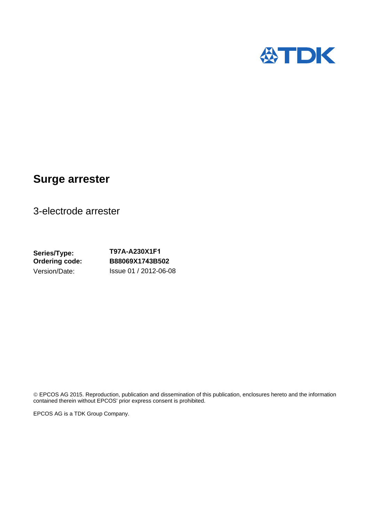

# **Surge arrester**

3-electrode arrester

**Series/Type: Ordering code:**  Version/Date:

## **T97A-A230X1F1 B88069X1743B502**  Issue 01 / 2012-06-08

© EPCOS AG 2015. Reproduction, publication and dissemination of this publication, enclosures hereto and the information contained therein without EPCOS' prior express consent is prohibited.

EPCOS AG is a TDK Group Company.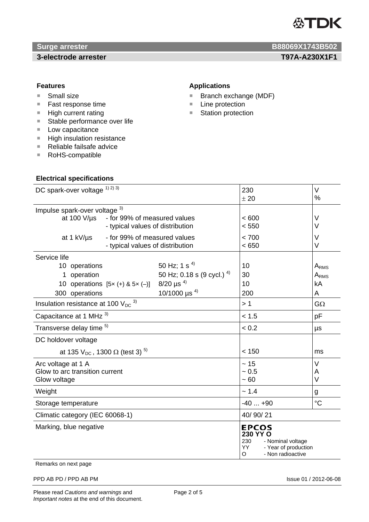

*Surge arrester* **B88069X1743B502 3-electrode arrester T97A-A230X1F1** 

- Small size
- Fast response time
- $H$ igh current rating
- Stable performance over life
- Low capacitance
- **High insulation resistance**
- Reliable failsafe advice
- RoHS-compatible

### **Electrical specifications**

# **Features Applications**

- Branch exchange (MDF)
- Line protection
- Station protection

| DC spark-over voltage 1) 2) 3)                                                                                        |                                                                  |                                                                                                                               | 230<br>± 20                                                                                                         | V<br>%                                          |
|-----------------------------------------------------------------------------------------------------------------------|------------------------------------------------------------------|-------------------------------------------------------------------------------------------------------------------------------|---------------------------------------------------------------------------------------------------------------------|-------------------------------------------------|
| Impulse spark-over voltage 3)<br>at 100 $V/\mu s$<br>- for 99% of measured values<br>- typical values of distribution |                                                                  |                                                                                                                               | < 600<br>< 550                                                                                                      | V<br>V                                          |
| at 1 kV/us                                                                                                            | - for 99% of measured values<br>- typical values of distribution |                                                                                                                               | < 700<br>< 650                                                                                                      | V<br>$\vee$                                     |
| Service life<br>10 operations<br>1 operation<br>10 operations $[5x (+) & 5x (-)]$<br>300 operations                   |                                                                  | 50 Hz; 1 s <sup>4)</sup><br>50 Hz; 0.18 s (9 cycl.) $4$ )<br>$8/20 \text{ }\mu\text{s}^{4)}$<br>10/1000 $\mu$ s <sup>4)</sup> | 10<br>30<br>10<br>200                                                                                               | A <sub>RMS</sub><br>A <sub>RMS</sub><br>kA<br>A |
| Insulation resistance at 100 $V_{DC}$ <sup>3)</sup>                                                                   |                                                                  |                                                                                                                               | >1                                                                                                                  | $G\Omega$                                       |
| Capacitance at 1 MHz 3)                                                                                               |                                                                  |                                                                                                                               | < 1.5                                                                                                               | pF                                              |
| Transverse delay time 5)                                                                                              |                                                                  |                                                                                                                               | < 0.2                                                                                                               | μs                                              |
| DC holdover voltage                                                                                                   |                                                                  |                                                                                                                               |                                                                                                                     |                                                 |
| at 135 $V_{DC}$ , 1300 $\Omega$ (test 3) <sup>5)</sup>                                                                |                                                                  |                                                                                                                               | < 150                                                                                                               | ms                                              |
| Arc voltage at 1 A<br>Glow to arc transition current<br>Glow voltage                                                  |                                                                  |                                                                                                                               | ~15<br>~10.5<br>~100                                                                                                | V<br>Α<br>$\vee$                                |
| Weight                                                                                                                |                                                                  |                                                                                                                               | ~1.4                                                                                                                | g                                               |
| Storage temperature                                                                                                   |                                                                  |                                                                                                                               | $-40+90$                                                                                                            | $^{\circ}C$                                     |
| Climatic category (IEC 60068-1)                                                                                       |                                                                  |                                                                                                                               | 40/90/21                                                                                                            |                                                 |
| Marking, blue negative                                                                                                |                                                                  |                                                                                                                               | <b>EPCOS</b><br>230 YY O<br>230<br>- Nominal voltage<br><b>YY</b><br>- Year of production<br>O<br>- Non radioactive |                                                 |

Remarks on next page

PPD AB PD / PPD AB PM **Issue 01 / 2012-06-08**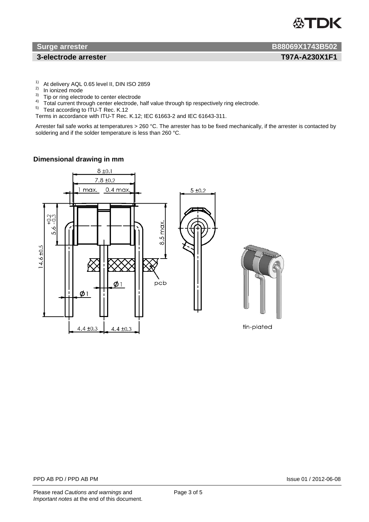

### **3-electrode arrester T97A-A230X1F1**

- $1)$  At delivery AQL 0.65 level II, DIN ISO 2859
- <sup>2)</sup> In ionized mode
- <sup>3)</sup> Tip or ring electrode to center electrode
- <sup>4)</sup> Total current through center electrode, half value through tip respectively ring electrode.
- $5$  Test according to ITU-T Rec. K.12

Terms in accordance with ITU-T Rec. K.12; IEC 61663-2 and IEC 61643-311.

Arrester fail safe works at temperatures > 260 °C. The arrester has to be fixed mechanically, if the arrester is contacted by soldering and if the solder temperature is less than 260 °C.

### **Dimensional drawing in mm**

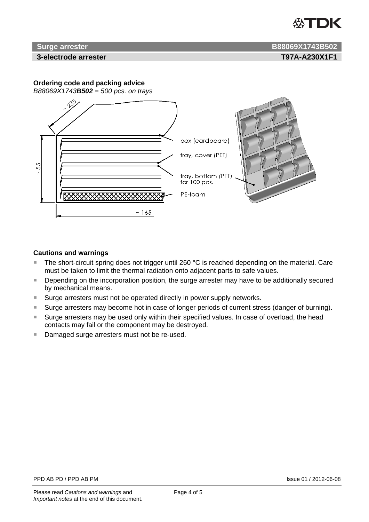

## **Surge arrester B88069X1743B502**

#### **3-electrode arrester T97A-A230X1F1**

### **Ordering code and packing advice**



### **Cautions and warnings**

- $\blacksquare$  The short-circuit spring does not trigger until 260 °C is reached depending on the material. Care must be taken to limit the thermal radiation onto adjacent parts to safe values.
- Depending on the incorporation position, the surge arrester may have to be additionally secured by mechanical means.
- Surge arresters must not be operated directly in power supply networks.
- Surge arresters may become hot in case of longer periods of current stress (danger of burning).
- Surge arresters may be used only within their specified values. In case of overload, the head contacts may fail or the component may be destroyed.
- Damaged surge arresters must not be re-used.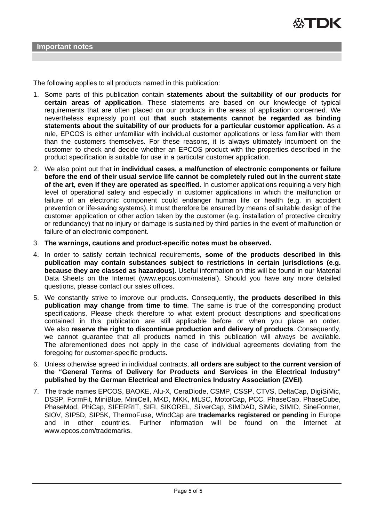The following applies to all products named in this publication:

- 1. Some parts of this publication contain **statements about the suitability of our products for certain areas of application**. These statements are based on our knowledge of typical requirements that are often placed on our products in the areas of application concerned. We nevertheless expressly point out **that such statements cannot be regarded as binding statements about the suitability of our products for a particular customer application.** As a rule, EPCOS is either unfamiliar with individual customer applications or less familiar with them than the customers themselves. For these reasons, it is always ultimately incumbent on the customer to check and decide whether an EPCOS product with the properties described in the product specification is suitable for use in a particular customer application.
- 2. We also point out that **in individual cases, a malfunction of electronic components or failure before the end of their usual service life cannot be completely ruled out in the current state of the art, even if they are operated as specified.** In customer applications requiring a very high level of operational safety and especially in customer applications in which the malfunction or failure of an electronic component could endanger human life or health (e.g. in accident prevention or life-saving systems), it must therefore be ensured by means of suitable design of the customer application or other action taken by the customer (e.g. installation of protective circuitry or redundancy) that no injury or damage is sustained by third parties in the event of malfunction or failure of an electronic component.
- 3. **The warnings, cautions and product-specific notes must be observed.**
- 4. In order to satisfy certain technical requirements, **some of the products described in this publication may contain substances subject to restrictions in certain jurisdictions (e.g. because they are classed as hazardous)**. Useful information on this will be found in our Material Data Sheets on the Internet (www.epcos.com/material). Should you have any more detailed questions, please contact our sales offices.
- 5. We constantly strive to improve our products. Consequently, **the products described in this publication may change from time to time**. The same is true of the corresponding product specifications. Please check therefore to what extent product descriptions and specifications contained in this publication are still applicable before or when you place an order. We also **reserve the right to discontinue production and delivery of products**. Consequently, we cannot guarantee that all products named in this publication will always be available. The aforementioned does not apply in the case of individual agreements deviating from the foregoing for customer-specific products.
- 6. Unless otherwise agreed in individual contracts, **all orders are subject to the current version of the "General Terms of Delivery for Products and Services in the Electrical Industry" published by the German Electrical and Electronics Industry Association (ZVEI)**.
- 7. The trade names EPCOS, BAOKE, Alu-X, CeraDiode, CSMP, CSSP, CTVS, DeltaCap, DigiSiMic, DSSP, FormFit, MiniBlue, MiniCell, MKD, MKK, MLSC, MotorCap, PCC, PhaseCap, PhaseCube, PhaseMod, PhiCap, SIFERRIT, SIFI, SIKOREL, SilverCap, SIMDAD, SiMic, SIMID, SineFormer, SIOV, SIP5D, SIP5K, ThermoFuse, WindCap are **trademarks registered or pending** in Europe and in other countries. Further information will be found on the Internet at www.epcos.com/trademarks.